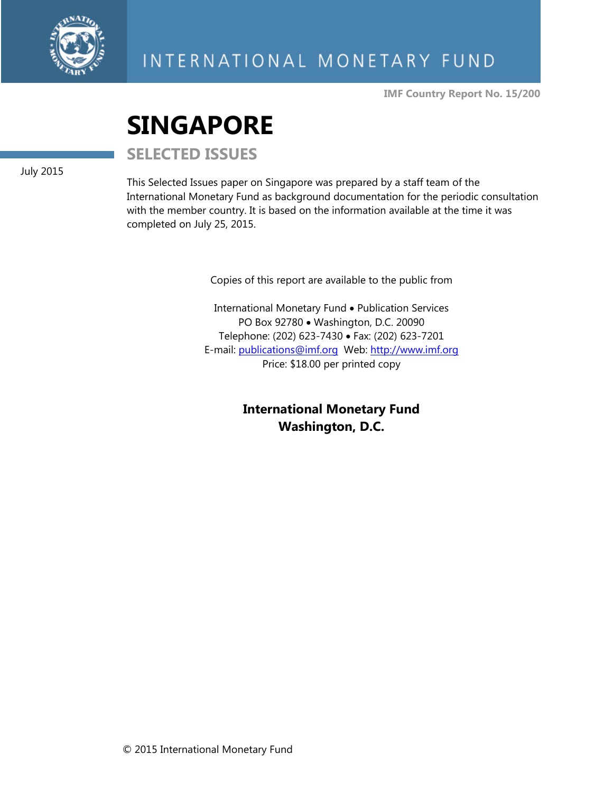

**IMF Country Report No. 15/200** 

# **SINGAPORE**

**SELECTED ISSUES** 

July 2015

This Selected Issues paper on Singapore was prepared by a staff team of the International Monetary Fund as background documentation for the periodic consultation with the member country. It is based on the information available at the time it was completed on July 25, 2015.

Copies of this report are available to the public from

International Monetary Fund • Publication Services PO Box 92780 • Washington, D.C. 20090 Telephone: (202) 623-7430 Fax: (202) 623-7201 E-mail: publications@imf.org Web: http://www.imf.org Price: \$18.00 per printed copy

> **International Monetary Fund Washington, D.C.**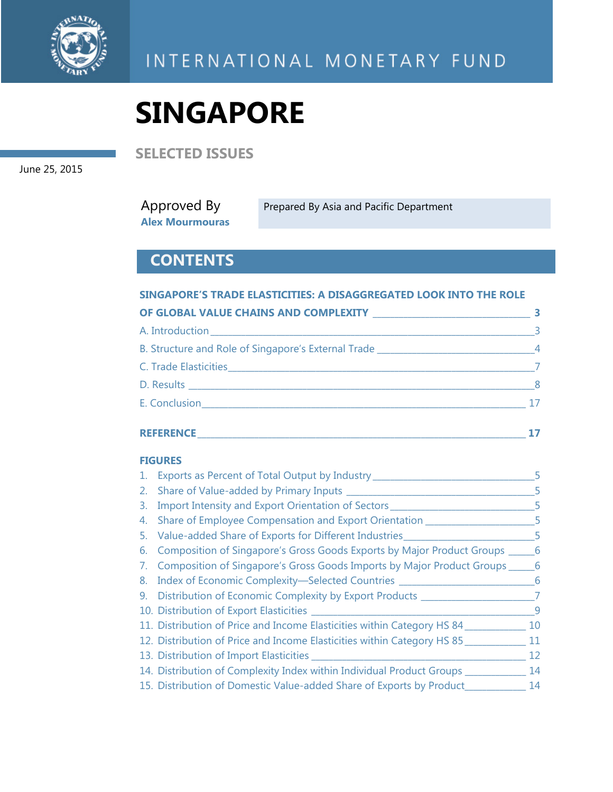

**SELECTED ISSUES** 

June 25, 2015

Approved By **Alex Mourmouras**  Prepared By Asia and Pacific Department

# **CONTENTS**

#### **SINGAPORE'S TRADE ELASTICITIES: A DISAGGREGATED LOOK INTO THE ROLE**

| OF GLOBAL VALUE CHAINS AND COMPLEXITY NARROW THE RESERVE TO A REPORT OF THE RESERVE TO A REPORT OF THE RESERVE |                |
|----------------------------------------------------------------------------------------------------------------|----------------|
|                                                                                                                | $\equiv$ 3     |
| B. Structure and Role of Singapore's External Trade _____________________________4                             |                |
|                                                                                                                |                |
|                                                                                                                | 8 <sup>8</sup> |
| E. Conclusion <b>E. Conclusion</b>                                                                             |                |

#### **REFERENCE \_\_\_\_\_\_\_\_\_\_\_\_\_\_\_\_\_\_\_\_\_\_\_\_\_\_\_\_\_\_\_\_\_\_\_\_\_\_\_\_\_\_\_\_\_\_\_\_\_\_\_\_\_\_\_\_\_\_\_\_\_\_\_\_\_\_\_\_\_\_\_\_\_\_\_ 17**

#### **FIGURES**

|    | 1. Exports as Percent of Total Output by Industry                                  |     |
|----|------------------------------------------------------------------------------------|-----|
|    |                                                                                    | 5   |
| 3. | Import Intensity and Export Orientation of Sectors                                 | 5   |
|    | 4. Share of Employee Compensation and Export Orientation ________________          | -5  |
|    | 5. Value-added Share of Exports for Different Industries<br>$\sim$ $-5$            |     |
|    | 6. Composition of Singapore's Gross Goods Exports by Major Product Groups ______   | 6   |
|    | 7. Composition of Singapore's Gross Goods Imports by Major Product Groups ______ 6 |     |
|    | 8. Index of Economic Complexity-Selected Countries _____________________________   | - 6 |
|    | 9. Distribution of Economic Complexity by Export Products ______                   |     |
|    |                                                                                    | q   |
|    | 11. Distribution of Price and Income Elasticities within Category HS 84            | 10  |
|    | 12. Distribution of Price and Income Elasticities within Category HS 85            | 11  |
|    | 13. Distribution of Import Elasticities ________                                   | 12  |
|    | 14. Distribution of Complexity Index within Individual Product Groups ____         | 14  |
|    | 15. Distribution of Domestic Value-added Share of Exports by Product               | 14  |
|    |                                                                                    |     |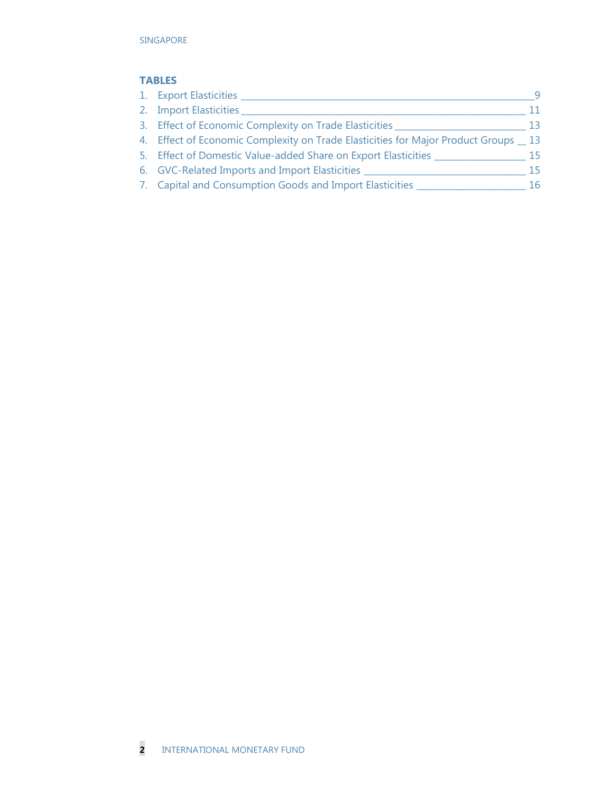#### **TABLES**

| 1. Export Elasticities _                                                           | <b>q</b> |
|------------------------------------------------------------------------------------|----------|
| 2. Import Elasticities                                                             |          |
| 3. Effect of Economic Complexity on Trade Elasticities                             | 13.      |
| 4. Effect of Economic Complexity on Trade Elasticities for Major Product Groups 13 |          |
| 5. Effect of Domestic Value-added Share on Export Elasticities                     | 15       |
| 6. GVC-Related Imports and Import Elasticities                                     | 15       |
| 7. Capital and Consumption Goods and Import Elasticities                           | 16       |
|                                                                                    |          |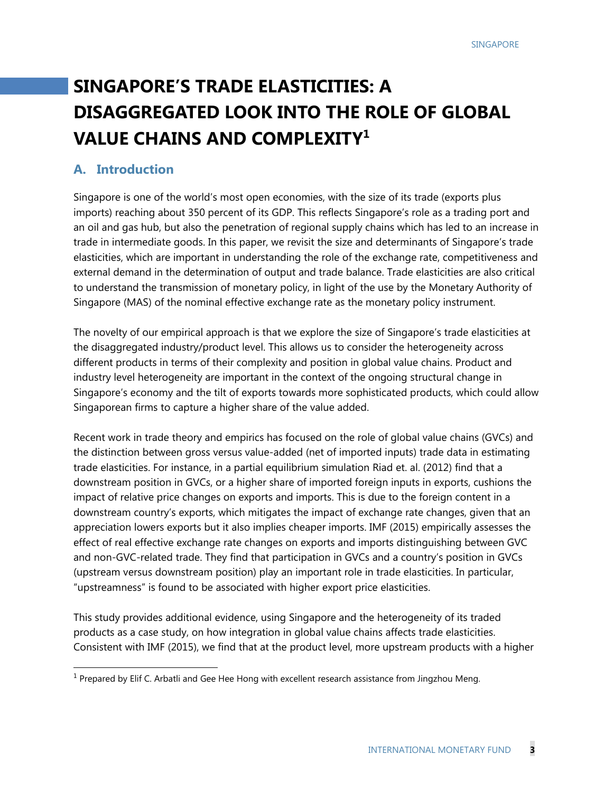# **SINGAPORE'S TRADE ELASTICITIES: A DISAGGREGATED LOOK INTO THE ROLE OF GLOBAL VALUE CHAINS AND COMPLEXITY1**

# **A. Introduction**

Singapore is one of the world's most open economies, with the size of its trade (exports plus imports) reaching about 350 percent of its GDP. This reflects Singapore's role as a trading port and an oil and gas hub, but also the penetration of regional supply chains which has led to an increase in trade in intermediate goods. In this paper, we revisit the size and determinants of Singapore's trade elasticities, which are important in understanding the role of the exchange rate, competitiveness and external demand in the determination of output and trade balance. Trade elasticities are also critical to understand the transmission of monetary policy, in light of the use by the Monetary Authority of Singapore (MAS) of the nominal effective exchange rate as the monetary policy instrument.

The novelty of our empirical approach is that we explore the size of Singapore's trade elasticities at the disaggregated industry/product level. This allows us to consider the heterogeneity across different products in terms of their complexity and position in global value chains. Product and industry level heterogeneity are important in the context of the ongoing structural change in Singapore's economy and the tilt of exports towards more sophisticated products, which could allow Singaporean firms to capture a higher share of the value added.

Recent work in trade theory and empirics has focused on the role of global value chains (GVCs) and the distinction between gross versus value-added (net of imported inputs) trade data in estimating trade elasticities. For instance, in a partial equilibrium simulation Riad et. al. (2012) find that a downstream position in GVCs, or a higher share of imported foreign inputs in exports, cushions the impact of relative price changes on exports and imports. This is due to the foreign content in a downstream country's exports, which mitigates the impact of exchange rate changes, given that an appreciation lowers exports but it also implies cheaper imports. IMF (2015) empirically assesses the effect of real effective exchange rate changes on exports and imports distinguishing between GVC and non-GVC-related trade. They find that participation in GVCs and a country's position in GVCs (upstream versus downstream position) play an important role in trade elasticities. In particular, "upstreamness" is found to be associated with higher export price elasticities.

This study provides additional evidence, using Singapore and the heterogeneity of its traded products as a case study, on how integration in global value chains affects trade elasticities. Consistent with IMF (2015), we find that at the product level, more upstream products with a higher

 1 Prepared by Elif C. Arbatli and Gee Hee Hong with excellent research assistance from Jingzhou Meng.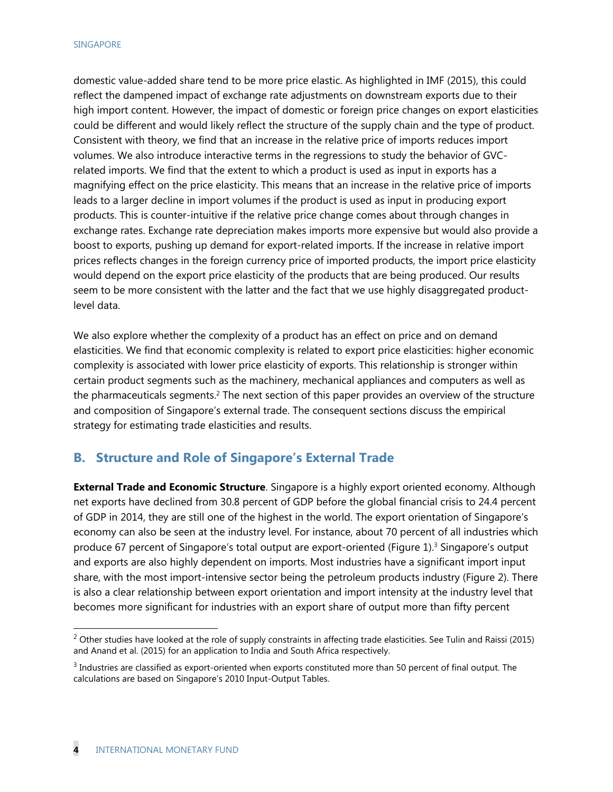domestic value-added share tend to be more price elastic. As highlighted in IMF (2015), this could reflect the dampened impact of exchange rate adjustments on downstream exports due to their high import content. However, the impact of domestic or foreign price changes on export elasticities could be different and would likely reflect the structure of the supply chain and the type of product. Consistent with theory, we find that an increase in the relative price of imports reduces import volumes. We also introduce interactive terms in the regressions to study the behavior of GVCrelated imports. We find that the extent to which a product is used as input in exports has a magnifying effect on the price elasticity. This means that an increase in the relative price of imports leads to a larger decline in import volumes if the product is used as input in producing export products. This is counter-intuitive if the relative price change comes about through changes in exchange rates. Exchange rate depreciation makes imports more expensive but would also provide a boost to exports, pushing up demand for export-related imports. If the increase in relative import prices reflects changes in the foreign currency price of imported products, the import price elasticity would depend on the export price elasticity of the products that are being produced. Our results seem to be more consistent with the latter and the fact that we use highly disaggregated productlevel data.

We also explore whether the complexity of a product has an effect on price and on demand elasticities. We find that economic complexity is related to export price elasticities: higher economic complexity is associated with lower price elasticity of exports. This relationship is stronger within certain product segments such as the machinery, mechanical appliances and computers as well as the pharmaceuticals segments.<sup>2</sup> The next section of this paper provides an overview of the structure and composition of Singapore's external trade. The consequent sections discuss the empirical strategy for estimating trade elasticities and results.

## **B. Structure and Role of Singapore's External Trade**

**External Trade and Economic Structure**. Singapore is a highly export oriented economy. Although net exports have declined from 30.8 percent of GDP before the global financial crisis to 24.4 percent of GDP in 2014, they are still one of the highest in the world. The export orientation of Singapore's economy can also be seen at the industry level. For instance, about 70 percent of all industries which produce 67 percent of Singapore's total output are export-oriented (Figure 1).3 Singapore's output and exports are also highly dependent on imports. Most industries have a significant import input share, with the most import-intensive sector being the petroleum products industry (Figure 2). There is also a clear relationship between export orientation and import intensity at the industry level that becomes more significant for industries with an export share of output more than fifty percent

-

<sup>&</sup>lt;sup>2</sup> Other studies have looked at the role of supply constraints in affecting trade elasticities. See Tulin and Raissi (2015) and Anand et al. (2015) for an application to India and South Africa respectively.

 $3$  Industries are classified as export-oriented when exports constituted more than 50 percent of final output. The calculations are based on Singapore's 2010 Input-Output Tables.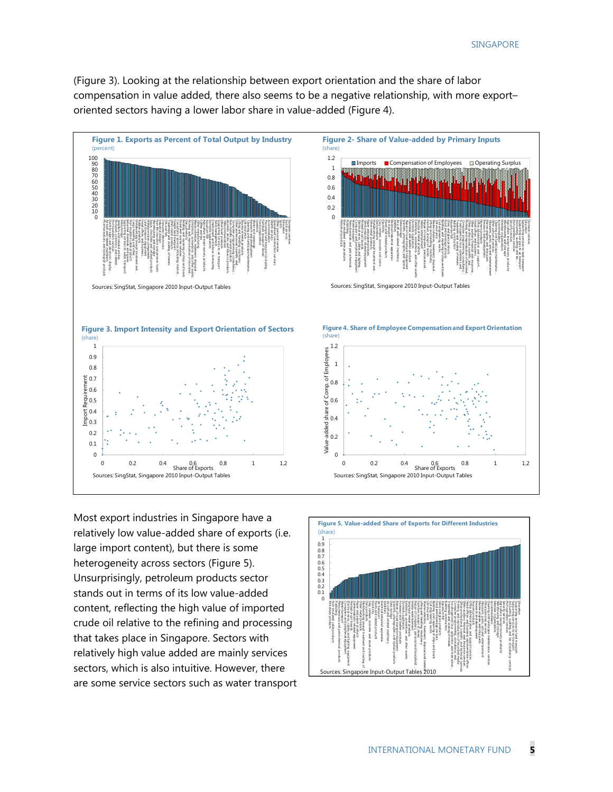(Figure 3). Looking at the relationship between export orientation and the share of labor compensation in value added, there also seems to be a negative relationship, with more export– oriented sectors having a lower labor share in value-added (Figure 4).



Most export industries in Singapore have a relatively low value-added share of exports (i.e. large import content), but there is some heterogeneity across sectors (Figure 5). Unsurprisingly, petroleum products sector stands out in terms of its low value-added content, reflecting the high value of imported crude oil relative to the refining and processing that takes place in Singapore. Sectors with relatively high value added are mainly services sectors, which is also intuitive. However, there are some service sectors such as water transport

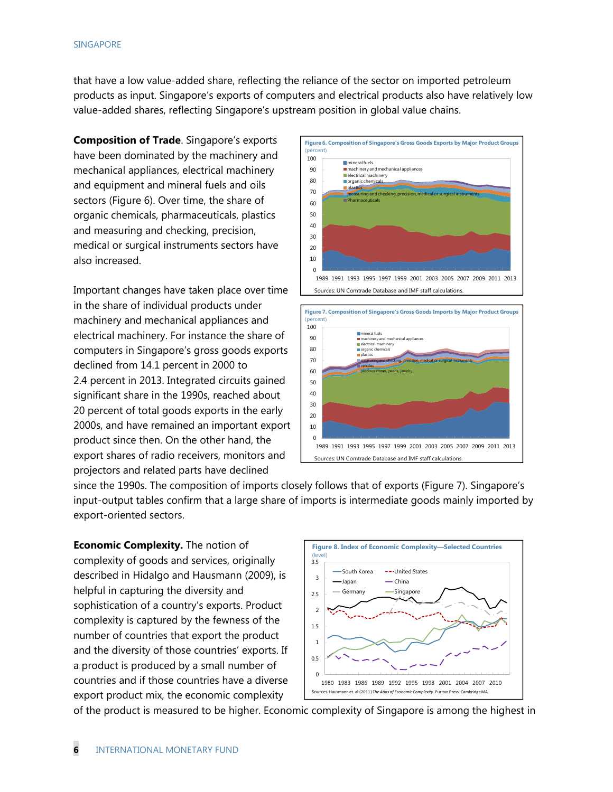that have a low value-added share, reflecting the reliance of the sector on imported petroleum products as input. Singapore's exports of computers and electrical products also have relatively low value-added shares, reflecting Singapore's upstream position in global value chains.

**Composition of Trade**. Singapore's exports have been dominated by the machinery and mechanical appliances, electrical machinery and equipment and mineral fuels and oils sectors (Figure 6). Over time, the share of organic chemicals, pharmaceuticals, plastics and measuring and checking, precision, medical or surgical instruments sectors have also increased.

Important changes have taken place over time in the share of individual products under machinery and mechanical appliances and electrical machinery. For instance the share of computers in Singapore's gross goods exports declined from 14.1 percent in 2000 to 2.4 percent in 2013. Integrated circuits gained significant share in the 1990s, reached about 20 percent of total goods exports in the early 2000s, and have remained an important export product since then. On the other hand, the export shares of radio receivers, monitors and projectors and related parts have declined







since the 1990s. The composition of imports closely follows that of exports (Figure 7). Singapore's input-output tables confirm that a large share of imports is intermediate goods mainly imported by export-oriented sectors.

**Economic Complexity.** The notion of complexity of goods and services, originally described in Hidalgo and Hausmann (2009), is helpful in capturing the diversity and sophistication of a country's exports. Product complexity is captured by the fewness of the number of countries that export the product and the diversity of those countries' exports. If a product is produced by a small number of countries and if those countries have a diverse export product mix, the economic complexity



of the product is measured to be higher. Economic complexity of Singapore is among the highest in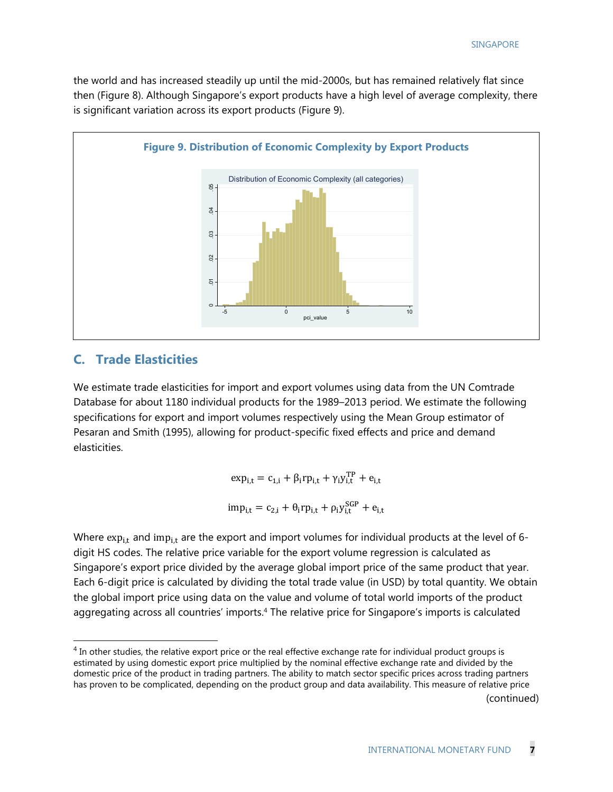the world and has increased steadily up until the mid-2000s, but has remained relatively flat since then (Figure 8). Although Singapore's export products have a high level of average complexity, there is significant variation across its export products (Figure 9).



### **C. Trade Elasticities**

1

We estimate trade elasticities for import and export volumes using data from the UN Comtrade Database for about 1180 individual products for the 1989–2013 period. We estimate the following specifications for export and import volumes respectively using the Mean Group estimator of Pesaran and Smith (1995), allowing for product-specific fixed effects and price and demand elasticities.

> $\exp_{i,t} = c_{1,i} + \beta_i r p_{i,t} + \gamma_i y_{i,t}^{TP} + e_{i,t}$  $\text{imp}_{i,t} = c_{2,i} + \theta_i \text{rp}_{i,t} + \rho_i \text{y}_{i,t}^{\text{GGP}} + e_{i,t}$

Where  $\exp_{i,t}$  and imp<sub>i,t</sub> are the export and import volumes for individual products at the level of 6digit HS codes. The relative price variable for the export volume regression is calculated as Singapore's export price divided by the average global import price of the same product that year. Each 6-digit price is calculated by dividing the total trade value (in USD) by total quantity. We obtain the global import price using data on the value and volume of total world imports of the product aggregating across all countries' imports.<sup>4</sup> The relative price for Singapore's imports is calculated

 $4$  In other studies, the relative export price or the real effective exchange rate for individual product groups is estimated by using domestic export price multiplied by the nominal effective exchange rate and divided by the domestic price of the product in trading partners. The ability to match sector specific prices across trading partners has proven to be complicated, depending on the product group and data availability. This measure of relative price (continued)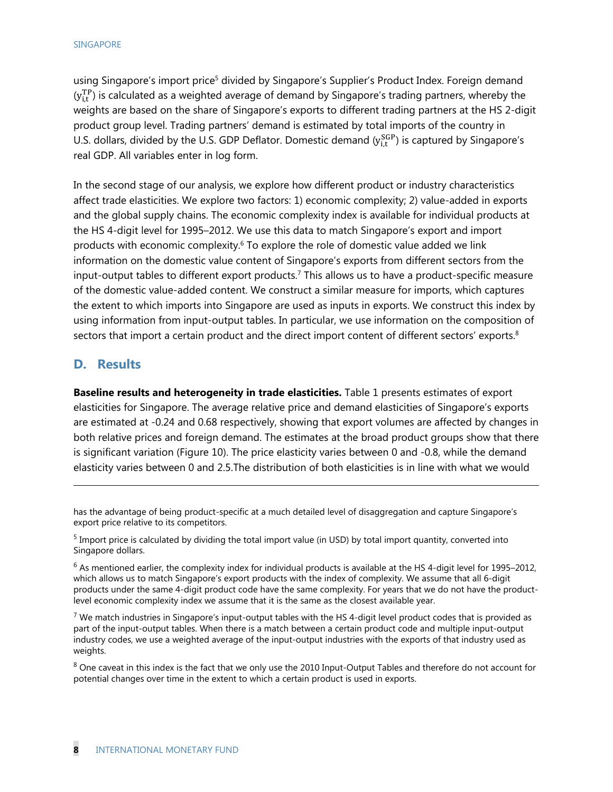using Singapore's import price<sup>5</sup> divided by Singapore's Supplier's Product Index. Foreign demand  $(y_{i,t}^{TP})$  is calculated as a weighted average of demand by Singapore's trading partners, whereby the weights are based on the share of Singapore's exports to different trading partners at the HS 2-digit product group level. Trading partners' demand is estimated by total imports of the country in U.S. dollars, divided by the U.S. GDP Deflator. Domestic demand  $(y_{i,t}^{SGP})$  is captured by Singapore's real GDP. All variables enter in log form.

In the second stage of our analysis, we explore how different product or industry characteristics affect trade elasticities. We explore two factors: 1) economic complexity; 2) value-added in exports and the global supply chains. The economic complexity index is available for individual products at the HS 4-digit level for 1995–2012. We use this data to match Singapore's export and import products with economic complexity.<sup>6</sup> To explore the role of domestic value added we link information on the domestic value content of Singapore's exports from different sectors from the input-output tables to different export products.7 This allows us to have a product-specific measure of the domestic value-added content. We construct a similar measure for imports, which captures the extent to which imports into Singapore are used as inputs in exports. We construct this index by using information from input-output tables. In particular, we use information on the composition of sectors that import a certain product and the direct import content of different sectors' exports.<sup>8</sup>

## **D. Results**

-

**Baseline results and heterogeneity in trade elasticities.** Table 1 presents estimates of export elasticities for Singapore. The average relative price and demand elasticities of Singapore's exports are estimated at -0.24 and 0.68 respectively, showing that export volumes are affected by changes in both relative prices and foreign demand. The estimates at the broad product groups show that there is significant variation (Figure 10). The price elasticity varies between 0 and -0.8, while the demand elasticity varies between 0 and 2.5.The distribution of both elasticities is in line with what we would

has the advantage of being product-specific at a much detailed level of disaggregation and capture Singapore's export price relative to its competitors.

 $<sup>5</sup>$  Import price is calculated by dividing the total import value (in USD) by total import quantity, converted into</sup> Singapore dollars.

 $6$  As mentioned earlier, the complexity index for individual products is available at the HS 4-digit level for 1995–2012, which allows us to match Singapore's export products with the index of complexity. We assume that all 6-digit products under the same 4-digit product code have the same complexity. For years that we do not have the productlevel economic complexity index we assume that it is the same as the closest available year.

 $7$  We match industries in Singapore's input-output tables with the HS 4-digit level product codes that is provided as part of the input-output tables. When there is a match between a certain product code and multiple input-output industry codes, we use a weighted average of the input-output industries with the exports of that industry used as weights.

<sup>&</sup>lt;sup>8</sup> One caveat in this index is the fact that we only use the 2010 Input-Output Tables and therefore do not account for potential changes over time in the extent to which a certain product is used in exports.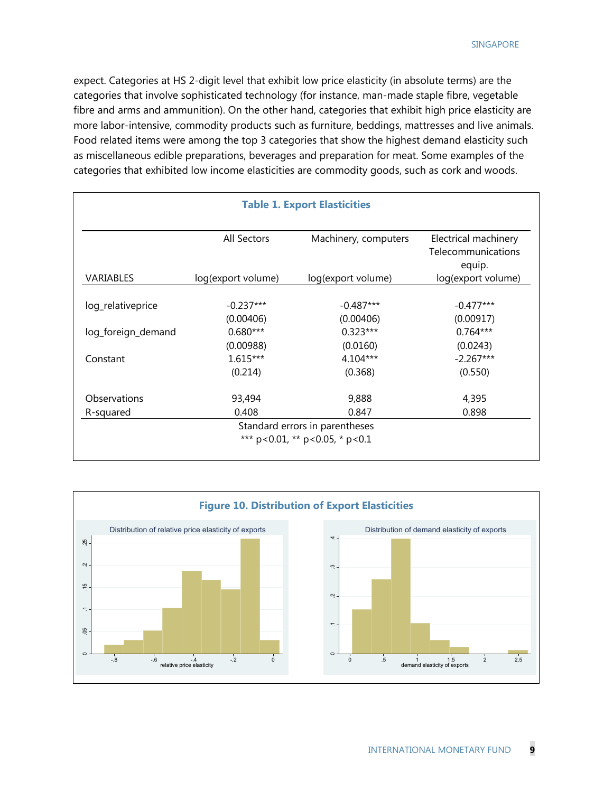expect. Categories at HS 2-digit level that exhibit low price elasticity (in absolute terms) are the categories that involve sophisticated technology (for instance, man-made staple fibre, vegetable fibre and arms and ammunition). On the other hand, categories that exhibit high price elasticity are more labor-intensive, commodity products such as furniture, beddings, mattresses and live animals. Food related items were among the top 3 categories that show the highest demand elasticity such as miscellaneous edible preparations, beverages and preparation for meat. Some examples of the categories that exhibited low income elasticities are commodity goods, such as cork and woods.

| <b>Table 1. Export Elasticities</b> |                    |                                                                                |                                            |
|-------------------------------------|--------------------|--------------------------------------------------------------------------------|--------------------------------------------|
|                                     | All Sectors        | Machinery, computers                                                           | Electrical machinery<br>Telecommunications |
| VARIABLES                           | log(export volume) | log(export volume)                                                             | equip.<br>log(export volume)               |
| log_relativeprice                   | $-0.237***$        | $-0.487***$                                                                    | $-0.477***$                                |
|                                     | (0.00406)          | (0.00406)                                                                      | (0.00917)                                  |
| log_foreign_demand                  | $0.680***$         | $0.323***$                                                                     | $0.764***$                                 |
|                                     | (0.00988)          | (0.0160)                                                                       | (0.0243)                                   |
| Constant                            | $1.615***$         | $4.104***$                                                                     | $-2.267***$                                |
|                                     | (0.214)            | (0.368)                                                                        | (0.550)                                    |
| Observations                        | 93,494             | 9,888                                                                          | 4,395                                      |
| R-squared                           | 0.408              | 0.847                                                                          | 0.898                                      |
|                                     |                    | Standard errors in parentheses<br>*** $p < 0.01$ , ** $p < 0.05$ , * $p < 0.1$ |                                            |

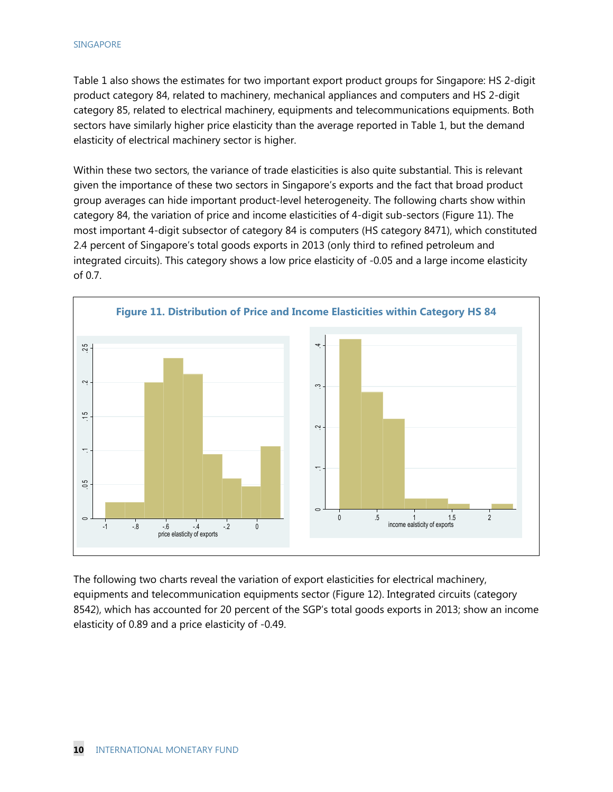Table 1 also shows the estimates for two important export product groups for Singapore: HS 2-digit product category 84, related to machinery, mechanical appliances and computers and HS 2-digit category 85, related to electrical machinery, equipments and telecommunications equipments. Both sectors have similarly higher price elasticity than the average reported in Table 1, but the demand elasticity of electrical machinery sector is higher.

Within these two sectors, the variance of trade elasticities is also quite substantial. This is relevant given the importance of these two sectors in Singapore's exports and the fact that broad product group averages can hide important product-level heterogeneity. The following charts show within category 84, the variation of price and income elasticities of 4-digit sub-sectors (Figure 11). The most important 4-digit subsector of category 84 is computers (HS category 8471), which constituted 2.4 percent of Singapore's total goods exports in 2013 (only third to refined petroleum and integrated circuits). This category shows a low price elasticity of -0.05 and a large income elasticity of 0.7.



The following two charts reveal the variation of export elasticities for electrical machinery, equipments and telecommunication equipments sector (Figure 12). Integrated circuits (category 8542), which has accounted for 20 percent of the SGP's total goods exports in 2013; show an income elasticity of 0.89 and a price elasticity of -0.49.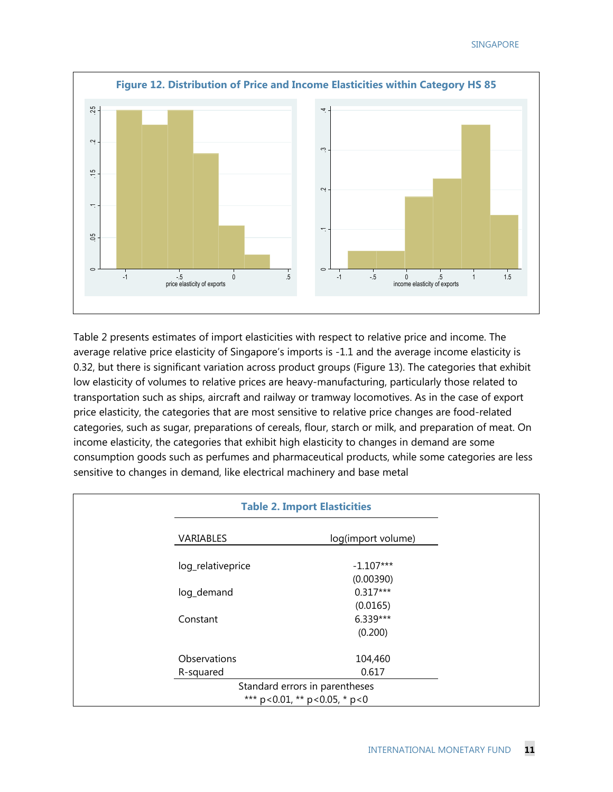

Table 2 presents estimates of import elasticities with respect to relative price and income. The average relative price elasticity of Singapore's imports is -1.1 and the average income elasticity is 0.32, but there is significant variation across product groups (Figure 13). The categories that exhibit low elasticity of volumes to relative prices are heavy-manufacturing, particularly those related to transportation such as ships, aircraft and railway or tramway locomotives. As in the case of export price elasticity, the categories that are most sensitive to relative price changes are food-related categories, such as sugar, preparations of cereals, flour, starch or milk, and preparation of meat. On income elasticity, the categories that exhibit high elasticity to changes in demand are some consumption goods such as perfumes and pharmaceutical products, while some categories are less sensitive to changes in demand, like electrical machinery and base metal

| <b>Table 2. Import Elasticities</b> |                                            |
|-------------------------------------|--------------------------------------------|
| VARIABLES                           | log(import volume)                         |
| log_relativeprice                   | $-1.107***$                                |
|                                     | (0.00390)                                  |
| log_demand                          | $0.317***$                                 |
|                                     | (0.0165)                                   |
| Constant                            | 6.339***                                   |
|                                     | (0.200)                                    |
| Observations                        | 104,460                                    |
| R-squared                           | 0.617                                      |
|                                     | Standard errors in parentheses             |
|                                     | *** $p < 0.01$ , ** $p < 0.05$ , * $p < 0$ |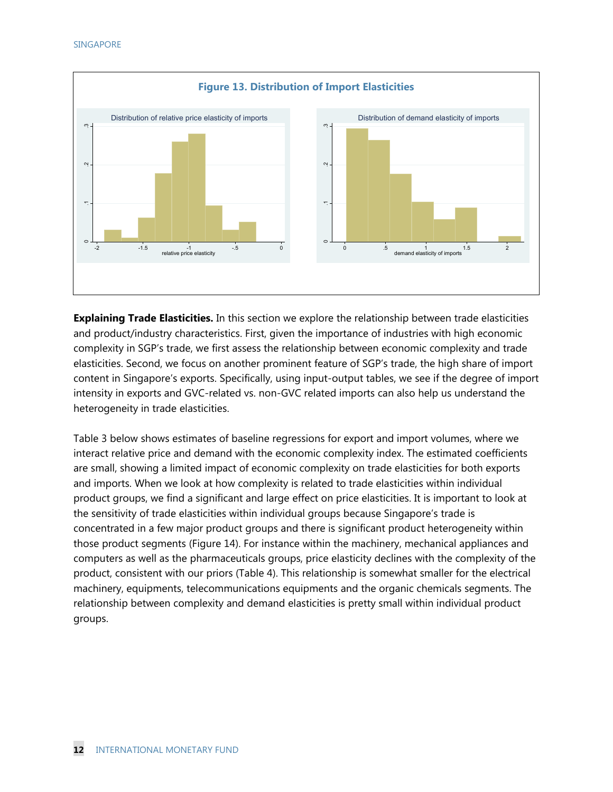

**Explaining Trade Elasticities.** In this section we explore the relationship between trade elasticities and product/industry characteristics. First, given the importance of industries with high economic complexity in SGP's trade, we first assess the relationship between economic complexity and trade elasticities. Second, we focus on another prominent feature of SGP's trade, the high share of import content in Singapore's exports. Specifically, using input-output tables, we see if the degree of import intensity in exports and GVC-related vs. non-GVC related imports can also help us understand the heterogeneity in trade elasticities.

Table 3 below shows estimates of baseline regressions for export and import volumes, where we interact relative price and demand with the economic complexity index. The estimated coefficients are small, showing a limited impact of economic complexity on trade elasticities for both exports and imports. When we look at how complexity is related to trade elasticities within individual product groups, we find a significant and large effect on price elasticities. It is important to look at the sensitivity of trade elasticities within individual groups because Singapore's trade is concentrated in a few major product groups and there is significant product heterogeneity within those product segments (Figure 14). For instance within the machinery, mechanical appliances and computers as well as the pharmaceuticals groups, price elasticity declines with the complexity of the product, consistent with our priors (Table 4). This relationship is somewhat smaller for the electrical machinery, equipments, telecommunications equipments and the organic chemicals segments. The relationship between complexity and demand elasticities is pretty small within individual product groups.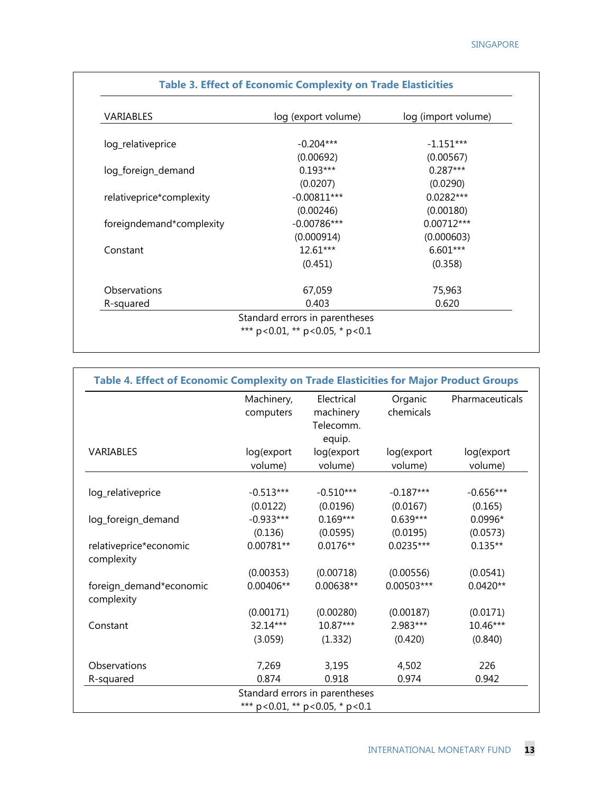٦

| VARIABLES                | log (export volume) | log (import volume) |
|--------------------------|---------------------|---------------------|
| log_relativeprice        | $-0.204***$         | $-1.151***$         |
|                          | (0.00692)           | (0.00567)           |
| log_foreign_demand       | $0.193***$          | $0.287***$          |
|                          | (0.0207)            | (0.0290)            |
| relativeprice*complexity | $-0.00811***$       | $0.0282***$         |
|                          | (0.00246)           | (0.00180)           |
| foreigndemand*complexity | $-0.00786***$       | $0.00712***$        |
|                          | (0.000914)          | (0.000603)          |
| Constant                 | $12.61***$          | 6.601***            |
|                          | (0.451)             | (0.358)             |
| Observations             | 67,059              | 75,963              |
| R-squared                | 0.403               | 0.620               |

#### **Table 3. Effect of Economic Complexity on Trade Elasticities**

|                                       | Machinery,  | Electrical  | Organic     | Pharmaceuticals |
|---------------------------------------|-------------|-------------|-------------|-----------------|
|                                       | computers   | machinery   | chemicals   |                 |
|                                       |             | Telecomm.   |             |                 |
|                                       |             | equip.      |             |                 |
| VARIABLES                             | log(export  | log(export  | log(export  | log(export      |
|                                       | volume)     | volume)     | volume)     | volume)         |
| log_relativeprice                     | $-0.513***$ | $-0.510***$ | $-0.187***$ | $-0.656***$     |
|                                       | (0.0122)    | (0.0196)    | (0.0167)    | (0.165)         |
| log_foreign_demand                    | $-0.933***$ | $0.169***$  | $0.639***$  | 0.0996*         |
|                                       | (0.136)     | (0.0595)    | (0.0195)    | (0.0573)        |
| relativeprice*economic<br>complexity  | $0.00781**$ | $0.0176**$  | $0.0235***$ | $0.135**$       |
|                                       | (0.00353)   | (0.00718)   | (0.00556)   | (0.0541)        |
| foreign_demand*economic<br>complexity | 0.00406**   | 0.00638**   | 0.00503***  | $0.0420**$      |
|                                       | (0.00171)   | (0.00280)   | (0.00187)   | (0.0171)        |
| Constant                              | 32.14***    | 10.87***    | 2.983***    | 10.46***        |
|                                       | (3.059)     | (1.332)     | (0.420)     | (0.840)         |
| Observations                          | 7,269       | 3,195       | 4,502       | 226             |
| R-squared                             | 0.874       | 0.918       | 0.974       | 0.942           |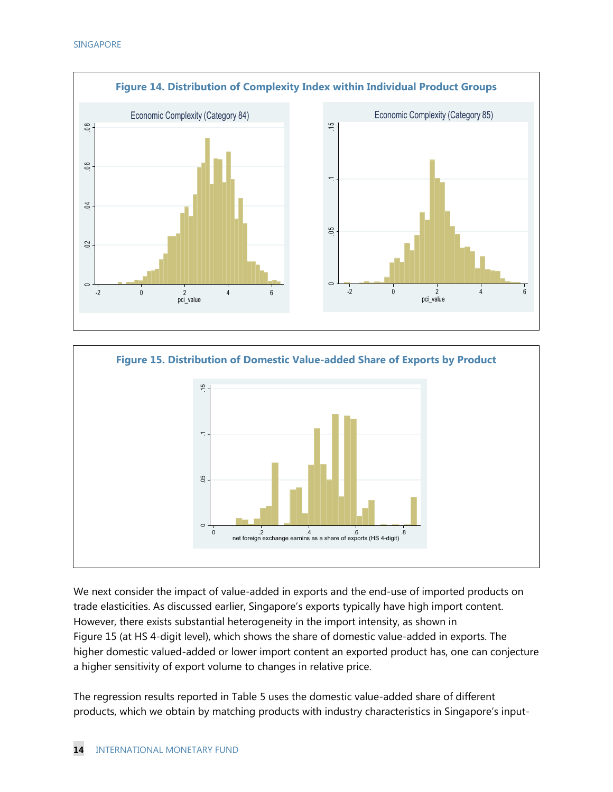



We next consider the impact of value-added in exports and the end-use of imported products on trade elasticities. As discussed earlier, Singapore's exports typically have high import content. However, there exists substantial heterogeneity in the import intensity, as shown in Figure 15 (at HS 4-digit level), which shows the share of domestic value-added in exports. The higher domestic valued-added or lower import content an exported product has, one can conjecture a higher sensitivity of export volume to changes in relative price.

The regression results reported in Table 5 uses the domestic value-added share of different products, which we obtain by matching products with industry characteristics in Singapore's input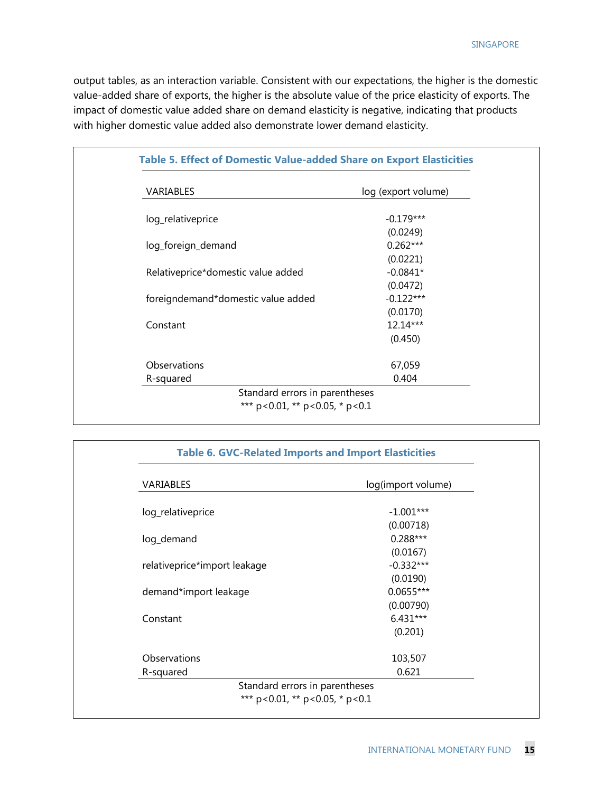output tables, as an interaction variable. Consistent with our expectations, the higher is the domestic value-added share of exports, the higher is the absolute value of the price elasticity of exports. The impact of domestic value added share on demand elasticity is negative, indicating that products with higher domestic value added also demonstrate lower demand elasticity.

| <b>VARIABLES</b>                   | log (export volume) |
|------------------------------------|---------------------|
| log_relativeprice                  | $-0.179***$         |
|                                    | (0.0249)            |
| log_foreign_demand                 | $0.262***$          |
|                                    | (0.0221)            |
| Relativeprice*domestic value added | $-0.0841*$          |
|                                    | (0.0472)            |
| foreigndemand*domestic value added | $-0.122***$         |
|                                    | (0.0170)            |
| Constant                           | 12.14***            |
|                                    | (0.450)             |
| Observations                       | 67,059              |
| R-squared                          | 0.404               |

| VARIABLES                    | log(import volume) |
|------------------------------|--------------------|
| log_relativeprice            | $-1.001***$        |
|                              | (0.00718)          |
| log_demand                   | $0.288***$         |
|                              | (0.0167)           |
| relativeprice*import leakage | $-0.332***$        |
|                              | (0.0190)           |
| demand*import leakage        | $0.0655***$        |
|                              | (0.00790)          |
| Constant                     | $6.431***$         |
|                              | (0.201)            |
| Observations                 | 103,507            |
| R-squared                    | 0.621              |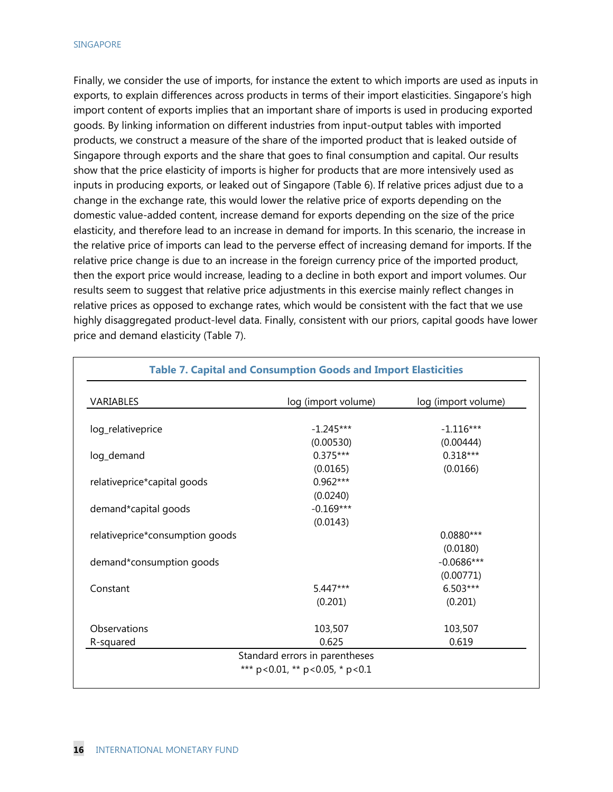Finally, we consider the use of imports, for instance the extent to which imports are used as inputs in exports, to explain differences across products in terms of their import elasticities. Singapore's high import content of exports implies that an important share of imports is used in producing exported goods. By linking information on different industries from input-output tables with imported products, we construct a measure of the share of the imported product that is leaked outside of Singapore through exports and the share that goes to final consumption and capital. Our results show that the price elasticity of imports is higher for products that are more intensively used as inputs in producing exports, or leaked out of Singapore (Table 6). If relative prices adjust due to a change in the exchange rate, this would lower the relative price of exports depending on the domestic value-added content, increase demand for exports depending on the size of the price elasticity, and therefore lead to an increase in demand for imports. In this scenario, the increase in the relative price of imports can lead to the perverse effect of increasing demand for imports. If the relative price change is due to an increase in the foreign currency price of the imported product, then the export price would increase, leading to a decline in both export and import volumes. Our results seem to suggest that relative price adjustments in this exercise mainly reflect changes in relative prices as opposed to exchange rates, which would be consistent with the fact that we use highly disaggregated product-level data. Finally, consistent with our priors, capital goods have lower price and demand elasticity (Table 7).

| VARIABLES                       | log (import volume) | log (import volume) |
|---------------------------------|---------------------|---------------------|
| log_relativeprice               | $-1.245***$         | $-1.116***$         |
|                                 | (0.00530)           | (0.00444)           |
| log_demand                      | $0.375***$          | $0.318***$          |
|                                 | (0.0165)            | (0.0166)            |
| relativeprice*capital goods     | $0.962***$          |                     |
|                                 | (0.0240)            |                     |
| demand*capital goods            | $-0.169***$         |                     |
|                                 | (0.0143)            |                     |
| relativeprice*consumption goods |                     | $0.0880***$         |
|                                 |                     | (0.0180)            |
| demand*consumption goods        |                     | $-0.0686***$        |
|                                 |                     | (0.00771)           |
| Constant                        | 5.447***            | $6.503***$          |
|                                 | (0.201)             | (0.201)             |
| Observations                    | 103,507             | 103,507             |
| R-squared                       | 0.625               | 0.619               |